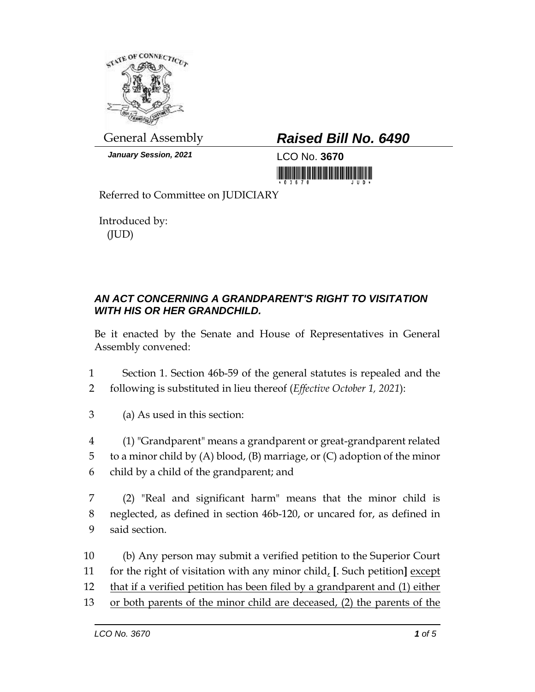

*January Session, 2021* LCO No. **3670**

## General Assembly *Raised Bill No. 6490*

Referred to Committee on JUDICIARY

Introduced by: (JUD)

## *AN ACT CONCERNING A GRANDPARENT'S RIGHT TO VISITATION WITH HIS OR HER GRANDCHILD.*

Be it enacted by the Senate and House of Representatives in General Assembly convened:

- 1 Section 1. Section 46b-59 of the general statutes is repealed and the 2 following is substituted in lieu thereof (*Effective October 1, 2021*):
- 3 (a) As used in this section:
- 4 (1) "Grandparent" means a grandparent or great-grandparent related 5 to a minor child by (A) blood, (B) marriage, or (C) adoption of the minor 6 child by a child of the grandparent; and
- 7 (2) "Real and significant harm" means that the minor child is 8 neglected, as defined in section 46b-120, or uncared for, as defined in 9 said section.
- 10 (b) Any person may submit a verified petition to the Superior Court 11 for the right of visitation with any minor child, **[**. Such petition**]** except 12 that if a verified petition has been filed by a grandparent and (1) either 13 or both parents of the minor child are deceased, (2) the parents of the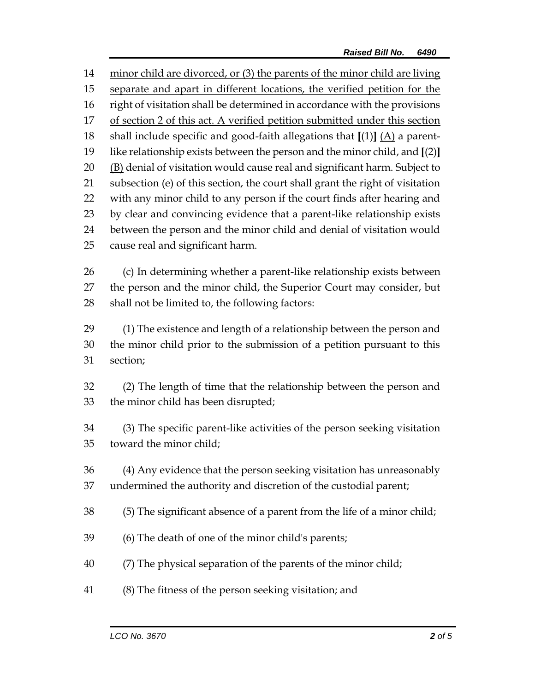minor child are divorced, or (3) the parents of the minor child are living separate and apart in different locations, the verified petition for the 16 right of visitation shall be determined in accordance with the provisions of section 2 of this act. A verified petition submitted under this section shall include specific and good-faith allegations that **[**(1)**]** (A) a parent- like relationship exists between the person and the minor child, and **[**(2)**]**  $(B)$  denial of visitation would cause real and significant harm. Subject to subsection (e) of this section, the court shall grant the right of visitation with any minor child to any person if the court finds after hearing and by clear and convincing evidence that a parent-like relationship exists between the person and the minor child and denial of visitation would cause real and significant harm. (c) In determining whether a parent-like relationship exists between the person and the minor child, the Superior Court may consider, but shall not be limited to, the following factors: (1) The existence and length of a relationship between the person and the minor child prior to the submission of a petition pursuant to this section; (2) The length of time that the relationship between the person and the minor child has been disrupted; (3) The specific parent-like activities of the person seeking visitation toward the minor child; (4) Any evidence that the person seeking visitation has unreasonably undermined the authority and discretion of the custodial parent; (5) The significant absence of a parent from the life of a minor child; (6) The death of one of the minor child's parents;

- (7) The physical separation of the parents of the minor child;
- (8) The fitness of the person seeking visitation; and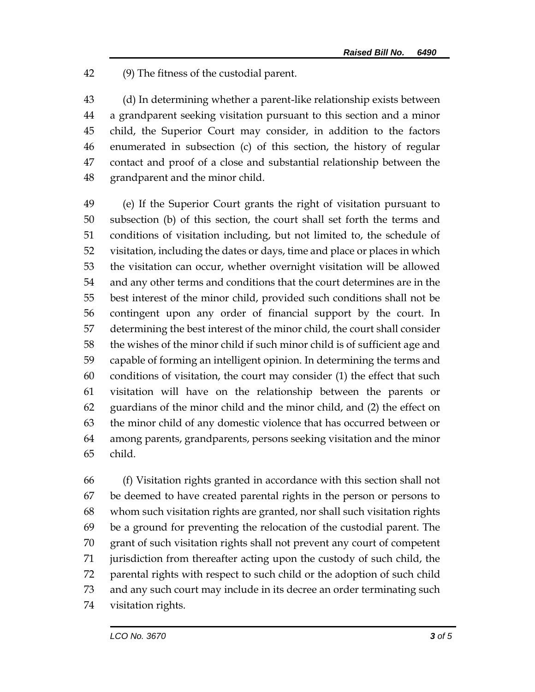(9) The fitness of the custodial parent.

 (d) In determining whether a parent-like relationship exists between a grandparent seeking visitation pursuant to this section and a minor child, the Superior Court may consider, in addition to the factors enumerated in subsection (c) of this section, the history of regular contact and proof of a close and substantial relationship between the grandparent and the minor child.

 (e) If the Superior Court grants the right of visitation pursuant to subsection (b) of this section, the court shall set forth the terms and conditions of visitation including, but not limited to, the schedule of visitation, including the dates or days, time and place or places in which the visitation can occur, whether overnight visitation will be allowed and any other terms and conditions that the court determines are in the best interest of the minor child, provided such conditions shall not be contingent upon any order of financial support by the court. In determining the best interest of the minor child, the court shall consider the wishes of the minor child if such minor child is of sufficient age and capable of forming an intelligent opinion. In determining the terms and conditions of visitation, the court may consider (1) the effect that such visitation will have on the relationship between the parents or guardians of the minor child and the minor child, and (2) the effect on the minor child of any domestic violence that has occurred between or among parents, grandparents, persons seeking visitation and the minor child.

 (f) Visitation rights granted in accordance with this section shall not be deemed to have created parental rights in the person or persons to whom such visitation rights are granted, nor shall such visitation rights be a ground for preventing the relocation of the custodial parent. The grant of such visitation rights shall not prevent any court of competent jurisdiction from thereafter acting upon the custody of such child, the parental rights with respect to such child or the adoption of such child and any such court may include in its decree an order terminating such visitation rights.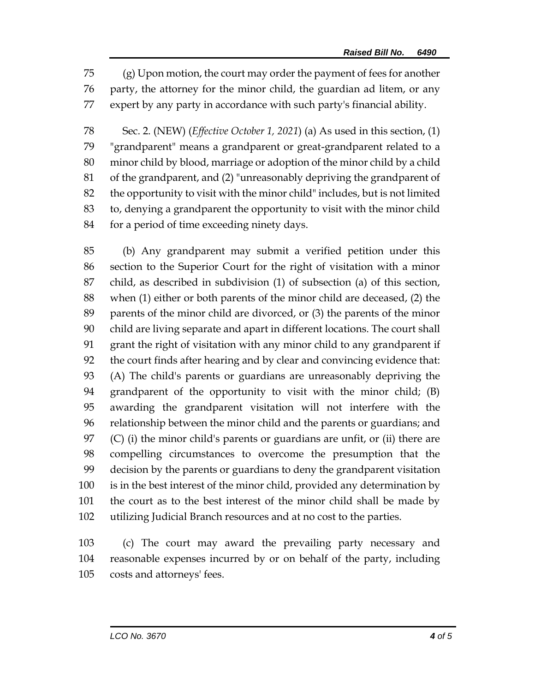(g) Upon motion, the court may order the payment of fees for another party, the attorney for the minor child, the guardian ad litem, or any expert by any party in accordance with such party's financial ability.

 Sec. 2. (NEW) (*Effective October 1, 2021*) (a) As used in this section, (1) "grandparent" means a grandparent or great-grandparent related to a minor child by blood, marriage or adoption of the minor child by a child of the grandparent, and (2) "unreasonably depriving the grandparent of the opportunity to visit with the minor child" includes, but is not limited to, denying a grandparent the opportunity to visit with the minor child 84 for a period of time exceeding ninety days.

 (b) Any grandparent may submit a verified petition under this section to the Superior Court for the right of visitation with a minor child, as described in subdivision (1) of subsection (a) of this section, when (1) either or both parents of the minor child are deceased, (2) the parents of the minor child are divorced, or (3) the parents of the minor child are living separate and apart in different locations. The court shall grant the right of visitation with any minor child to any grandparent if the court finds after hearing and by clear and convincing evidence that: (A) The child's parents or guardians are unreasonably depriving the grandparent of the opportunity to visit with the minor child; (B) awarding the grandparent visitation will not interfere with the relationship between the minor child and the parents or guardians; and (C) (i) the minor child's parents or guardians are unfit, or (ii) there are compelling circumstances to overcome the presumption that the decision by the parents or guardians to deny the grandparent visitation is in the best interest of the minor child, provided any determination by the court as to the best interest of the minor child shall be made by utilizing Judicial Branch resources and at no cost to the parties.

 (c) The court may award the prevailing party necessary and reasonable expenses incurred by or on behalf of the party, including costs and attorneys' fees.